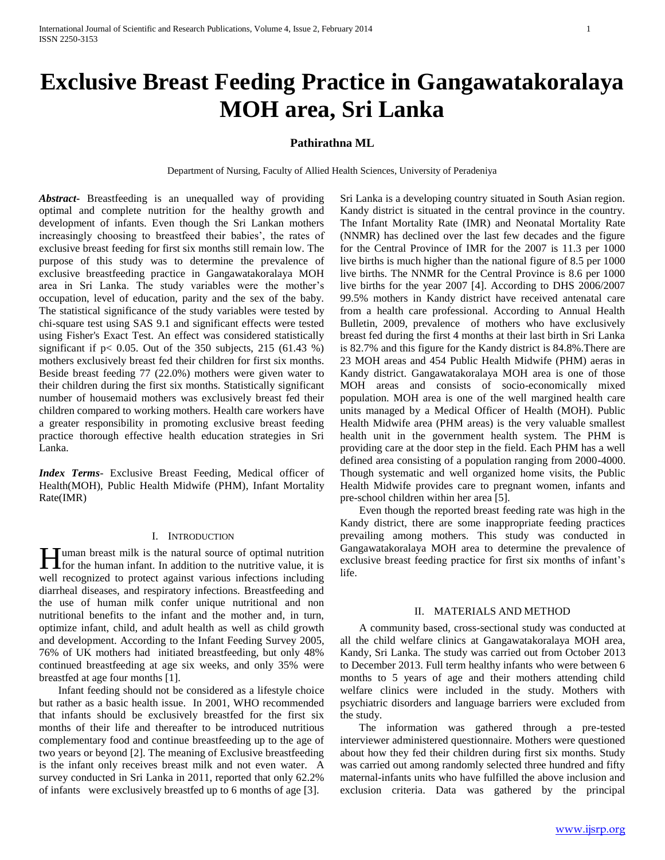# **Exclusive Breast Feeding Practice in Gangawatakoralaya MOH area, Sri Lanka**

# **Pathirathna ML**

Department of Nursing, Faculty of Allied Health Sciences, University of Peradeniya

*Abstract***-** Breastfeeding is an unequalled way of providing optimal and complete nutrition for the healthy growth and development of infants. Even though the Sri Lankan mothers increasingly choosing to breastfeed their babies', the rates of exclusive breast feeding for first six months still remain low. The purpose of this study was to determine the prevalence of exclusive breastfeeding practice in Gangawatakoralaya MOH area in Sri Lanka. The study variables were the mother's occupation, level of education, parity and the sex of the baby. The statistical significance of the study variables were tested by chi-square test using SAS 9.1 and significant effects were tested using Fisher's Exact Test. An effect was considered statistically significant if  $p < 0.05$ . Out of the 350 subjects, 215 (61.43 %) mothers exclusively breast fed their children for first six months. Beside breast feeding 77 (22.0%) mothers were given water to their children during the first six months. Statistically significant number of housemaid mothers was exclusively breast fed their children compared to working mothers. Health care workers have a greater responsibility in promoting exclusive breast feeding practice thorough effective health education strategies in Sri Lanka.

*Index Terms*- Exclusive Breast Feeding, Medical officer of Health(MOH), Public Health Midwife (PHM), Infant Mortality Rate(IMR)

## I. INTRODUCTION

uman breast milk is the natural source of optimal nutrition **for** the human infant. In addition to the nutritive value, it is well recognized to protect against various infections including diarrheal diseases, and respiratory infections. Breastfeeding and the use of human milk confer unique nutritional and non nutritional benefits to the infant and the mother and, in turn, optimize infant, child, and adult health as well as child growth and development. According to the Infant Feeding Survey 2005, 76% of UK mothers had initiated breastfeeding, but only 48% continued breastfeeding at age six weeks, and only 35% were breastfed at age four months [1].

 Infant feeding should not be considered as a lifestyle choice but rather as a basic health issue. In 2001, WHO recommended that infants should be exclusively breastfed for the first six months of their life and thereafter to be introduced nutritious complementary food and continue breastfeeding up to the age of two years or beyond [2]. The meaning of Exclusive breastfeeding is the infant only receives breast milk and not even water. A survey conducted in Sri Lanka in 2011, reported that only 62.2% of infants were exclusively breastfed up to 6 months of age [3].

Sri Lanka is a developing country situated in South Asian region. Kandy district is situated in the central province in the country. The Infant Mortality Rate (IMR) and Neonatal Mortality Rate (NNMR) has declined over the last few decades and the figure for the Central Province of IMR for the 2007 is 11.3 per 1000 live births is much higher than the national figure of 8.5 per 1000 live births. The NNMR for the Central Province is 8.6 per 1000 live births for the year 2007 [4]. According to DHS 2006/2007 99.5% mothers in Kandy district have received antenatal care from a health care professional. According to Annual Health Bulletin, 2009, prevalence of mothers who have exclusively breast fed during the first 4 months at their last birth in Sri Lanka is 82.7% and this figure for the Kandy district is 84.8%.There are 23 MOH areas and 454 Public Health Midwife (PHM) aeras in Kandy district. Gangawatakoralaya MOH area is one of those MOH areas and consists of socio-economically mixed population. MOH area is one of the well margined health care units managed by a Medical Officer of Health (MOH). Public Health Midwife area (PHM areas) is the very valuable smallest health unit in the government health system. The PHM is providing care at the door step in the field. Each PHM has a well defined area consisting of a population ranging from 2000-4000. Though systematic and well organized home visits, the Public Health Midwife provides care to pregnant women, infants and pre-school children within her area [5].

 Even though the reported breast feeding rate was high in the Kandy district, there are some inappropriate feeding practices prevailing among mothers. This study was conducted in Gangawatakoralaya MOH area to determine the prevalence of exclusive breast feeding practice for first six months of infant's life.

#### II. MATERIALS AND METHOD

 A community based, cross-sectional study was conducted at all the child welfare clinics at Gangawatakoralaya MOH area, Kandy, Sri Lanka. The study was carried out from October 2013 to December 2013. Full term healthy infants who were between 6 months to 5 years of age and their mothers attending child welfare clinics were included in the study. Mothers with psychiatric disorders and language barriers were excluded from the study.

 The information was gathered through a pre-tested interviewer administered questionnaire. Mothers were questioned about how they fed their children during first six months. Study was carried out among randomly selected three hundred and fifty maternal-infants units who have fulfilled the above inclusion and exclusion criteria. Data was gathered by the principal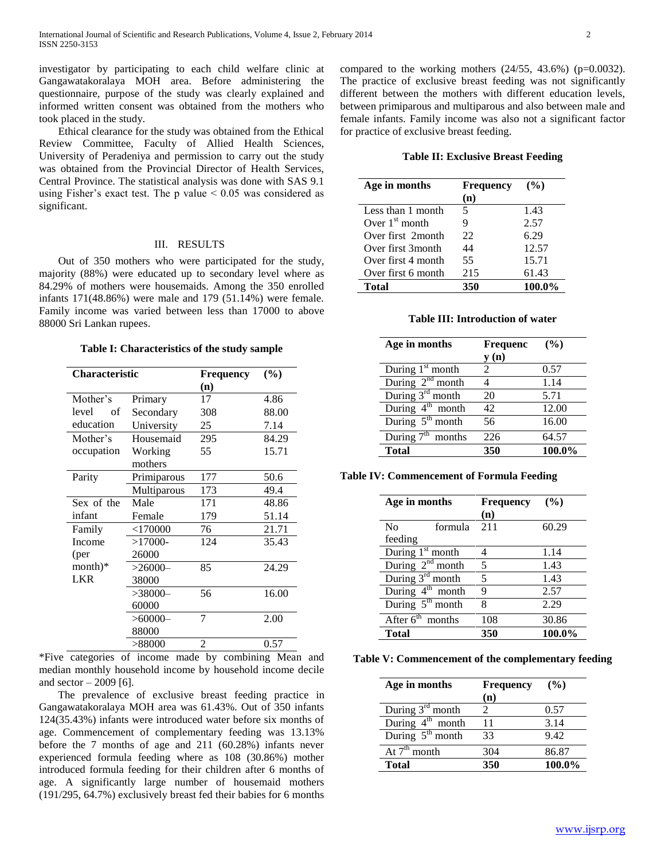investigator by participating to each child welfare clinic at Gangawatakoralaya MOH area. Before administering the questionnaire, purpose of the study was clearly explained and informed written consent was obtained from the mothers who took placed in the study.

 Ethical clearance for the study was obtained from the Ethical Review Committee, Faculty of Allied Health Sciences, University of Peradeniya and permission to carry out the study was obtained from the Provincial Director of Health Services, Central Province. The statistical analysis was done with SAS 9.1 using Fisher's exact test. The p value  $\leq 0.05$  was considered as significant.

## III. RESULTS

 Out of 350 mothers who were participated for the study, majority (88%) were educated up to secondary level where as 84.29% of mothers were housemaids. Among the 350 enrolled infants 171(48.86%) were male and 179 (51.14%) were female. Family income was varied between less than 17000 to above 88000 Sri Lankan rupees.

**Table I: Characteristics of the study sample**

| Characteristic |             | <b>Frequency</b> | (%)   |
|----------------|-------------|------------------|-------|
|                |             | (n)              |       |
| Mother's       | Primary     | 17               | 4.86  |
| level<br>of    | Secondary   | 308              | 88.00 |
| education      | University  | 25               | 7.14  |
| Mother's       | Housemaid   | 295              | 84.29 |
| occupation     | Working     | 55               | 15.71 |
|                | mothers     |                  |       |
| Parity         | Primiparous | 177              | 50.6  |
|                | Multiparous | 173              | 49.4  |
| Sex of the     | Male        | 171              | 48.86 |
| infant         | Female      | 179              | 51.14 |
| Family         | $<$ 170000  | 76               | 21.71 |
| Income         | $>17000-$   | 124              | 35.43 |
| (per           | 26000       |                  |       |
| $month)*$      | $>26000-$   | 85               | 24.29 |
| <b>LKR</b>     | 38000       |                  |       |
|                | $>38000-$   | 56               | 16.00 |
|                | 60000       |                  |       |
|                | $>60000-$   | 7                | 2.00  |
|                | 88000       |                  |       |
|                | >88000      | 2                | 0.57  |

\*Five categories of income made by combining Mean and median monthly household income by household income decile and sector  $-2009$  [6].

 The prevalence of exclusive breast feeding practice in Gangawatakoralaya MOH area was 61.43%. Out of 350 infants 124(35.43%) infants were introduced water before six months of age. Commencement of complementary feeding was 13.13% before the 7 months of age and 211 (60.28%) infants never experienced formula feeding where as 108 (30.86%) mother introduced formula feeding for their children after 6 months of age. A significantly large number of housemaid mothers (191/295, 64.7%) exclusively breast fed their babies for 6 months compared to the working mothers  $(24/55, 43.6%)$  (p=0.0032). The practice of exclusive breast feeding was not significantly different between the mothers with different education levels, between primiparous and multiparous and also between male and female infants. Family income was also not a significant factor for practice of exclusive breast feeding.

**Table II: Exclusive Breast Feeding**

| Age in months      | <b>Frequency</b> | $($ %) |
|--------------------|------------------|--------|
|                    | (n)              |        |
| Less than 1 month  | 5                | 1.43   |
| Over $1st$ month   | 9                | 2.57   |
| Over first 2month  | 22               | 6.29   |
| Over first 3 month | 44               | 12.57  |
| Over first 4 month | 55               | 15.71  |
| Over first 6 month | 215              | 61.43  |
| <b>Total</b>       | 350              | 100.0% |

**Table III: Introduction of water**

| Age in months                    | <b>Frequenc</b> | (%)    |
|----------------------------------|-----------------|--------|
|                                  | y(n)            |        |
| During $1st$ month               | 2               | 0.57   |
| During $2nd$ month               |                 | 1.14   |
| During $3^{\overline{rd}}$ month | 20              | 5.71   |
| During $4^{\text{th}}$ month     | 42              | 12.00  |
| During $5^{\text{th}}$ month     | 56              | 16.00  |
| During $7^{th}$<br>" months      | 226             | 64.57  |
| <b>Total</b>                     | 350             | 100.0% |

**Table IV: Commencement of Formula Feeding**

| Age in months                |         | <b>Frequency</b><br>(n) | (%)    |
|------------------------------|---------|-------------------------|--------|
| N <sub>0</sub><br>feeding    | formula | 211                     | 60.29  |
| During $1st$ month           |         | 4                       | 1.14   |
| During $2nd$ month           |         | 5                       | 1.43   |
| During $3^{\text{rd}}$ month |         | 5                       | 1.43   |
| During $4^{\text{th}}$ month |         | 9                       | 2.57   |
| During $5^{\text{th}}$ month |         | 8                       | 2.29   |
| After $6th$ months           |         | 108                     | 30.86  |
| <b>Total</b>                 |         | 350                     | 100.0% |

**Table V: Commencement of the complementary feeding**

| Age in months                | <b>Frequency</b> | $($ %) |
|------------------------------|------------------|--------|
|                              | (n)              |        |
| During 3 <sup>rd</sup> month |                  | 0.57   |
| During $4^{\text{th}}$ month | 11               | 3.14   |
| During $5th$ month           | 33               | 9.42   |
| $\overline{At7^{th}}$ month  | 304              | 86.87  |
| Total                        | 350              | 100.0% |